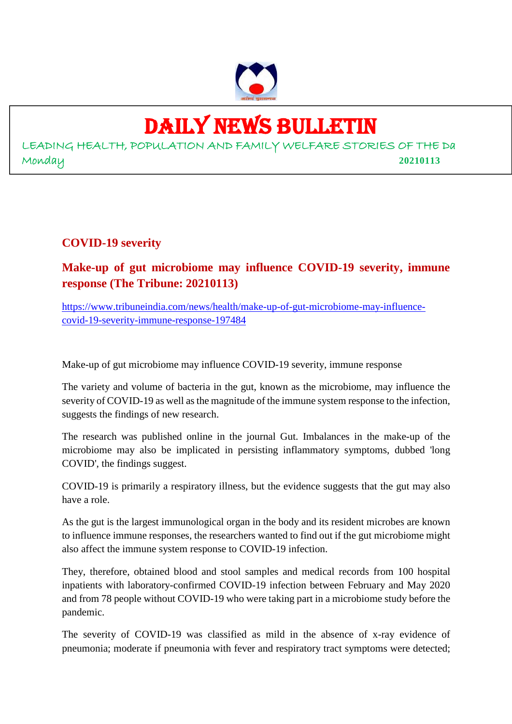

# DAILY NEWS BULLETIN

LEADING HEALTH, POPULATION AND FAMILY WELFARE STORIES OF THE Da Monday **20210113**

#### **COVID-19 severity**

#### **Make-up of gut microbiome may influence COVID-19 severity, immune response (The Tribune: 20210113)**

https://www.tribuneindia.com/news/health/make-up-of-gut-microbiome-may-influencecovid-19-severity-immune-response-197484

Make-up of gut microbiome may influence COVID-19 severity, immune response

The variety and volume of bacteria in the gut, known as the microbiome, may influence the severity of COVID-19 as well as the magnitude of the immune system response to the infection, suggests the findings of new research.

The research was published online in the journal Gut. Imbalances in the make-up of the microbiome may also be implicated in persisting inflammatory symptoms, dubbed 'long COVID', the findings suggest.

COVID-19 is primarily a respiratory illness, but the evidence suggests that the gut may also have a role.

As the gut is the largest immunological organ in the body and its resident microbes are known to influence immune responses, the researchers wanted to find out if the gut microbiome might also affect the immune system response to COVID-19 infection.

They, therefore, obtained blood and stool samples and medical records from 100 hospital inpatients with laboratory-confirmed COVID-19 infection between February and May 2020 and from 78 people without COVID-19 who were taking part in a microbiome study before the pandemic.

The severity of COVID-19 was classified as mild in the absence of x-ray evidence of pneumonia; moderate if pneumonia with fever and respiratory tract symptoms were detected;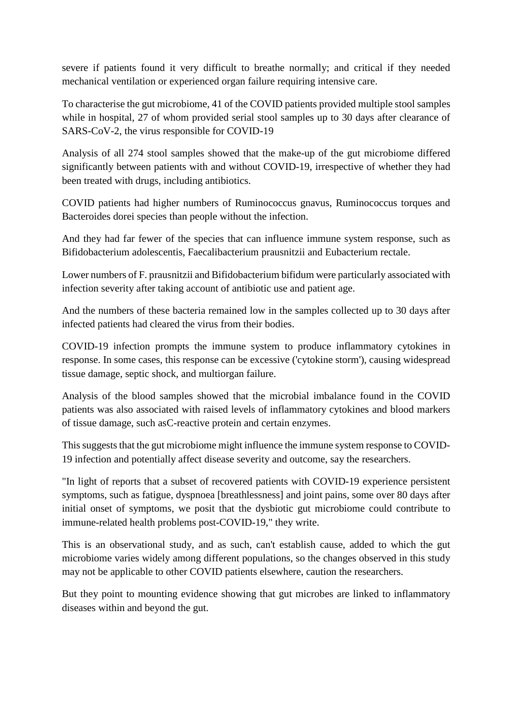severe if patients found it very difficult to breathe normally; and critical if they needed mechanical ventilation or experienced organ failure requiring intensive care.

To characterise the gut microbiome, 41 of the COVID patients provided multiple stool samples while in hospital, 27 of whom provided serial stool samples up to 30 days after clearance of SARS-CoV-2, the virus responsible for COVID-19

Analysis of all 274 stool samples showed that the make-up of the gut microbiome differed significantly between patients with and without COVID-19, irrespective of whether they had been treated with drugs, including antibiotics.

COVID patients had higher numbers of Ruminococcus gnavus, Ruminococcus torques and Bacteroides dorei species than people without the infection.

And they had far fewer of the species that can influence immune system response, such as Bifidobacterium adolescentis, Faecalibacterium prausnitzii and Eubacterium rectale.

Lower numbers of F. prausnitzii and Bifidobacterium bifidum were particularly associated with infection severity after taking account of antibiotic use and patient age.

And the numbers of these bacteria remained low in the samples collected up to 30 days after infected patients had cleared the virus from their bodies.

COVID-19 infection prompts the immune system to produce inflammatory cytokines in response. In some cases, this response can be excessive ('cytokine storm'), causing widespread tissue damage, septic shock, and multiorgan failure.

Analysis of the blood samples showed that the microbial imbalance found in the COVID patients was also associated with raised levels of inflammatory cytokines and blood markers of tissue damage, such asC-reactive protein and certain enzymes.

This suggests that the gut microbiome might influence the immune system response to COVID-19 infection and potentially affect disease severity and outcome, say the researchers.

"In light of reports that a subset of recovered patients with COVID-19 experience persistent symptoms, such as fatigue, dyspnoea [breathlessness] and joint pains, some over 80 days after initial onset of symptoms, we posit that the dysbiotic gut microbiome could contribute to immune-related health problems post-COVID-19," they write.

This is an observational study, and as such, can't establish cause, added to which the gut microbiome varies widely among different populations, so the changes observed in this study may not be applicable to other COVID patients elsewhere, caution the researchers.

But they point to mounting evidence showing that gut microbes are linked to inflammatory diseases within and beyond the gut.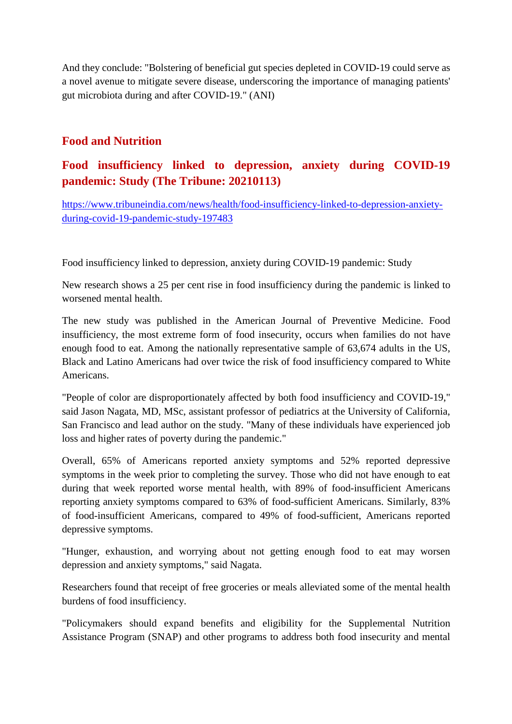And they conclude: "Bolstering of beneficial gut species depleted in COVID-19 could serve as a novel avenue to mitigate severe disease, underscoring the importance of managing patients' gut microbiota during and after COVID-19." (ANI)

#### **Food and Nutrition**

#### **Food insufficiency linked to depression, anxiety during COVID-19 pandemic: Study (The Tribune: 20210113)**

https://www.tribuneindia.com/news/health/food-insufficiency-linked-to-depression-anxietyduring-covid-19-pandemic-study-197483

Food insufficiency linked to depression, anxiety during COVID-19 pandemic: Study

New research shows a 25 per cent rise in food insufficiency during the pandemic is linked to worsened mental health.

The new study was published in the American Journal of Preventive Medicine. Food insufficiency, the most extreme form of food insecurity, occurs when families do not have enough food to eat. Among the nationally representative sample of 63,674 adults in the US, Black and Latino Americans had over twice the risk of food insufficiency compared to White Americans.

"People of color are disproportionately affected by both food insufficiency and COVID-19," said Jason Nagata, MD, MSc, assistant professor of pediatrics at the University of California, San Francisco and lead author on the study. "Many of these individuals have experienced job loss and higher rates of poverty during the pandemic."

Overall, 65% of Americans reported anxiety symptoms and 52% reported depressive symptoms in the week prior to completing the survey. Those who did not have enough to eat during that week reported worse mental health, with 89% of food-insufficient Americans reporting anxiety symptoms compared to 63% of food-sufficient Americans. Similarly, 83% of food-insufficient Americans, compared to 49% of food-sufficient, Americans reported depressive symptoms.

"Hunger, exhaustion, and worrying about not getting enough food to eat may worsen depression and anxiety symptoms," said Nagata.

Researchers found that receipt of free groceries or meals alleviated some of the mental health burdens of food insufficiency.

"Policymakers should expand benefits and eligibility for the Supplemental Nutrition Assistance Program (SNAP) and other programs to address both food insecurity and mental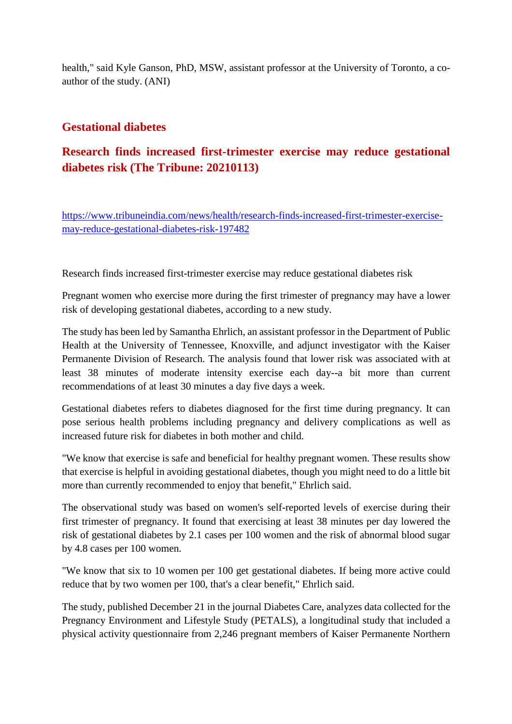health," said Kyle Ganson, PhD, MSW, assistant professor at the University of Toronto, a coauthor of the study. (ANI)

#### **Gestational diabetes**

#### **Research finds increased first-trimester exercise may reduce gestational diabetes risk (The Tribune: 20210113)**

https://www.tribuneindia.com/news/health/research-finds-increased-first-trimester-exercisemay-reduce-gestational-diabetes-risk-197482

Research finds increased first-trimester exercise may reduce gestational diabetes risk

Pregnant women who exercise more during the first trimester of pregnancy may have a lower risk of developing gestational diabetes, according to a new study.

The study has been led by Samantha Ehrlich, an assistant professor in the Department of Public Health at the University of Tennessee, Knoxville, and adjunct investigator with the Kaiser Permanente Division of Research. The analysis found that lower risk was associated with at least 38 minutes of moderate intensity exercise each day--a bit more than current recommendations of at least 30 minutes a day five days a week.

Gestational diabetes refers to diabetes diagnosed for the first time during pregnancy. It can pose serious health problems including pregnancy and delivery complications as well as increased future risk for diabetes in both mother and child.

"We know that exercise is safe and beneficial for healthy pregnant women. These results show that exercise is helpful in avoiding gestational diabetes, though you might need to do a little bit more than currently recommended to enjoy that benefit," Ehrlich said.

The observational study was based on women's self-reported levels of exercise during their first trimester of pregnancy. It found that exercising at least 38 minutes per day lowered the risk of gestational diabetes by 2.1 cases per 100 women and the risk of abnormal blood sugar by 4.8 cases per 100 women.

"We know that six to 10 women per 100 get gestational diabetes. If being more active could reduce that by two women per 100, that's a clear benefit," Ehrlich said.

The study, published December 21 in the journal Diabetes Care, analyzes data collected for the Pregnancy Environment and Lifestyle Study (PETALS), a longitudinal study that included a physical activity questionnaire from 2,246 pregnant members of Kaiser Permanente Northern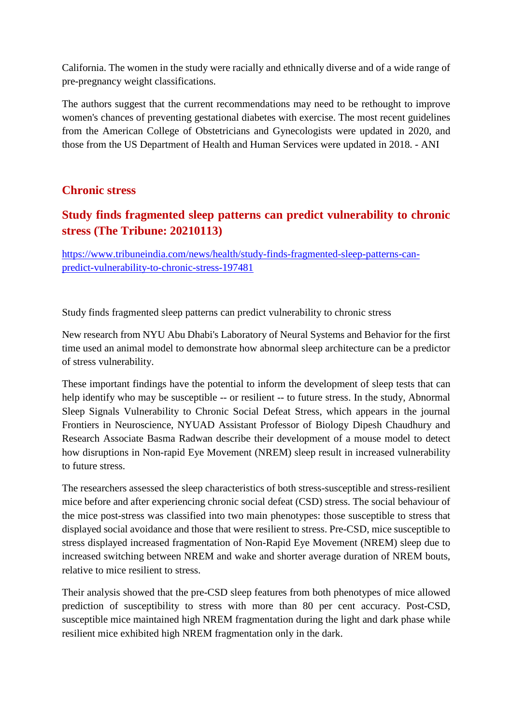California. The women in the study were racially and ethnically diverse and of a wide range of pre-pregnancy weight classifications.

The authors suggest that the current recommendations may need to be rethought to improve women's chances of preventing gestational diabetes with exercise. The most recent guidelines from the American College of Obstetricians and Gynecologists were updated in 2020, and those from the US Department of Health and Human Services were updated in 2018. - ANI

#### **Chronic stress**

#### **Study finds fragmented sleep patterns can predict vulnerability to chronic stress (The Tribune: 20210113)**

https://www.tribuneindia.com/news/health/study-finds-fragmented-sleep-patterns-canpredict-vulnerability-to-chronic-stress-197481

Study finds fragmented sleep patterns can predict vulnerability to chronic stress

New research from NYU Abu Dhabi's Laboratory of Neural Systems and Behavior for the first time used an animal model to demonstrate how abnormal sleep architecture can be a predictor of stress vulnerability.

These important findings have the potential to inform the development of sleep tests that can help identify who may be susceptible -- or resilient -- to future stress. In the study, Abnormal Sleep Signals Vulnerability to Chronic Social Defeat Stress, which appears in the journal Frontiers in Neuroscience, NYUAD Assistant Professor of Biology Dipesh Chaudhury and Research Associate Basma Radwan describe their development of a mouse model to detect how disruptions in Non-rapid Eye Movement (NREM) sleep result in increased vulnerability to future stress.

The researchers assessed the sleep characteristics of both stress-susceptible and stress-resilient mice before and after experiencing chronic social defeat (CSD) stress. The social behaviour of the mice post-stress was classified into two main phenotypes: those susceptible to stress that displayed social avoidance and those that were resilient to stress. Pre-CSD, mice susceptible to stress displayed increased fragmentation of Non-Rapid Eye Movement (NREM) sleep due to increased switching between NREM and wake and shorter average duration of NREM bouts, relative to mice resilient to stress.

Their analysis showed that the pre-CSD sleep features from both phenotypes of mice allowed prediction of susceptibility to stress with more than 80 per cent accuracy. Post-CSD, susceptible mice maintained high NREM fragmentation during the light and dark phase while resilient mice exhibited high NREM fragmentation only in the dark.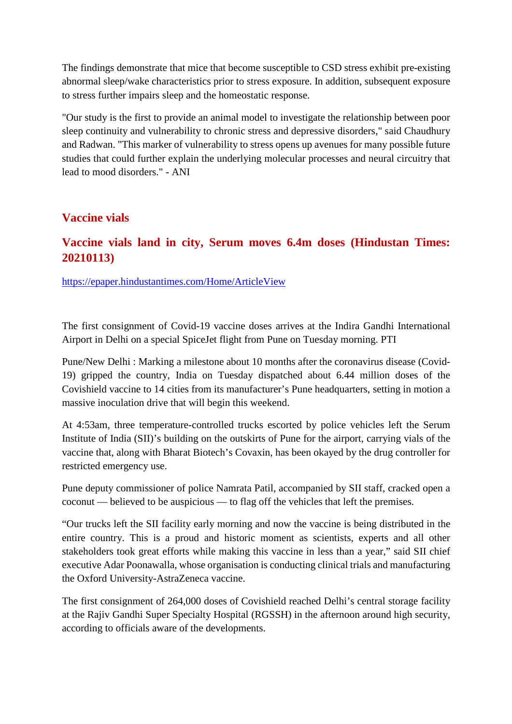The findings demonstrate that mice that become susceptible to CSD stress exhibit pre-existing abnormal sleep/wake characteristics prior to stress exposure. In addition, subsequent exposure to stress further impairs sleep and the homeostatic response.

"Our study is the first to provide an animal model to investigate the relationship between poor sleep continuity and vulnerability to chronic stress and depressive disorders," said Chaudhury and Radwan. "This marker of vulnerability to stress opens up avenues for many possible future studies that could further explain the underlying molecular processes and neural circuitry that lead to mood disorders." - ANI

#### **Vaccine vials**

#### **Vaccine vials land in city, Serum moves 6.4m doses (Hindustan Times: 20210113)**

https://epaper.hindustantimes.com/Home/ArticleView

The first consignment of Covid-19 vaccine doses arrives at the Indira Gandhi International Airport in Delhi on a special SpiceJet flight from Pune on Tuesday morning. PTI

Pune/New Delhi : Marking a milestone about 10 months after the coronavirus disease (Covid-19) gripped the country, India on Tuesday dispatched about 6.44 million doses of the Covishield vaccine to 14 cities from its manufacturer's Pune headquarters, setting in motion a massive inoculation drive that will begin this weekend.

At 4:53am, three temperature-controlled trucks escorted by police vehicles left the Serum Institute of India (SII)'s building on the outskirts of Pune for the airport, carrying vials of the vaccine that, along with Bharat Biotech's Covaxin, has been okayed by the drug controller for restricted emergency use.

Pune deputy commissioner of police Namrata Patil, accompanied by SII staff, cracked open a coconut — believed to be auspicious — to flag off the vehicles that left the premises.

"Our trucks left the SII facility early morning and now the vaccine is being distributed in the entire country. This is a proud and historic moment as scientists, experts and all other stakeholders took great efforts while making this vaccine in less than a year," said SII chief executive Adar Poonawalla, whose organisation is conducting clinical trials and manufacturing the Oxford University-AstraZeneca vaccine.

The first consignment of 264,000 doses of Covishield reached Delhi's central storage facility at the Rajiv Gandhi Super Specialty Hospital (RGSSH) in the afternoon around high security, according to officials aware of the developments.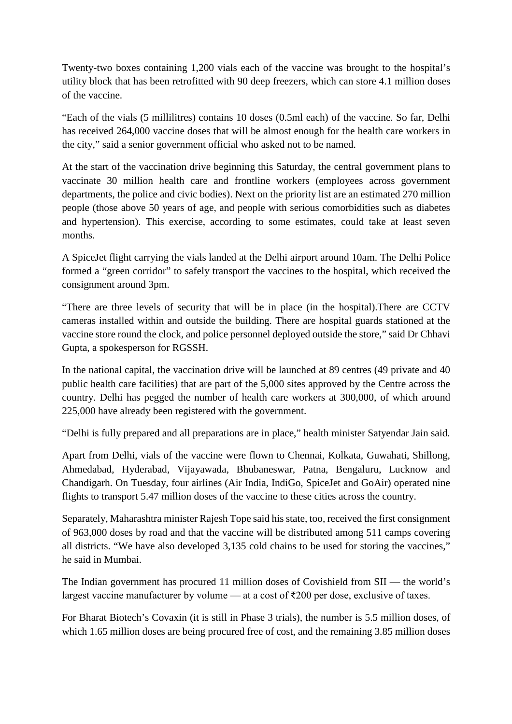Twenty-two boxes containing 1,200 vials each of the vaccine was brought to the hospital's utility block that has been retrofitted with 90 deep freezers, which can store 4.1 million doses of the vaccine.

"Each of the vials (5 millilitres) contains 10 doses (0.5ml each) of the vaccine. So far, Delhi has received 264,000 vaccine doses that will be almost enough for the health care workers in the city," said a senior government official who asked not to be named.

At the start of the vaccination drive beginning this Saturday, the central government plans to vaccinate 30 million health care and frontline workers (employees across government departments, the police and civic bodies). Next on the priority list are an estimated 270 million people (those above 50 years of age, and people with serious comorbidities such as diabetes and hypertension). This exercise, according to some estimates, could take at least seven months.

A SpiceJet flight carrying the vials landed at the Delhi airport around 10am. The Delhi Police formed a "green corridor" to safely transport the vaccines to the hospital, which received the consignment around 3pm.

"There are three levels of security that will be in place (in the hospital).There are CCTV cameras installed within and outside the building. There are hospital guards stationed at the vaccine store round the clock, and police personnel deployed outside the store," said Dr Chhavi Gupta, a spokesperson for RGSSH.

In the national capital, the vaccination drive will be launched at 89 centres (49 private and 40 public health care facilities) that are part of the 5,000 sites approved by the Centre across the country. Delhi has pegged the number of health care workers at 300,000, of which around 225,000 have already been registered with the government.

"Delhi is fully prepared and all preparations are in place," health minister Satyendar Jain said.

Apart from Delhi, vials of the vaccine were flown to Chennai, Kolkata, Guwahati, Shillong, Ahmedabad, Hyderabad, Vijayawada, Bhubaneswar, Patna, Bengaluru, Lucknow and Chandigarh. On Tuesday, four airlines (Air India, IndiGo, SpiceJet and GoAir) operated nine flights to transport 5.47 million doses of the vaccine to these cities across the country.

Separately, Maharashtra minister Rajesh Tope said his state, too, received the first consignment of 963,000 doses by road and that the vaccine will be distributed among 511 camps covering all districts. "We have also developed 3,135 cold chains to be used for storing the vaccines," he said in Mumbai.

The Indian government has procured 11 million doses of Covishield from SII — the world's largest vaccine manufacturer by volume — at a cost of ₹200 per dose, exclusive of taxes.

For Bharat Biotech's Covaxin (it is still in Phase 3 trials), the number is 5.5 million doses, of which 1.65 million doses are being procured free of cost, and the remaining 3.85 million doses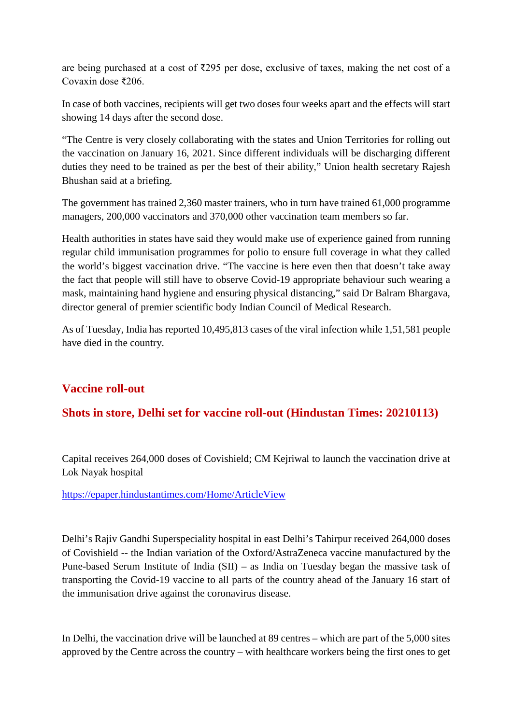are being purchased at a cost of ₹295 per dose, exclusive of taxes, making the net cost of a Covaxin dose ₹206.

In case of both vaccines, recipients will get two doses four weeks apart and the effects will start showing 14 days after the second dose.

"The Centre is very closely collaborating with the states and Union Territories for rolling out the vaccination on January 16, 2021. Since different individuals will be discharging different duties they need to be trained as per the best of their ability," Union health secretary Rajesh Bhushan said at a briefing.

The government has trained 2,360 master trainers, who in turn have trained 61,000 programme managers, 200,000 vaccinators and 370,000 other vaccination team members so far.

Health authorities in states have said they would make use of experience gained from running regular child immunisation programmes for polio to ensure full coverage in what they called the world's biggest vaccination drive. "The vaccine is here even then that doesn't take away the fact that people will still have to observe Covid-19 appropriate behaviour such wearing a mask, maintaining hand hygiene and ensuring physical distancing," said Dr Balram Bhargava, director general of premier scientific body Indian Council of Medical Research.

As of Tuesday, India has reported 10,495,813 cases of the viral infection while 1,51,581 people have died in the country.

#### **Vaccine roll-out**

#### **Shots in store, Delhi set for vaccine roll-out (Hindustan Times: 20210113)**

Capital receives 264,000 doses of Covishield; CM Kejriwal to launch the vaccination drive at Lok Nayak hospital

https://epaper.hindustantimes.com/Home/ArticleView

Delhi's Rajiv Gandhi Superspeciality hospital in east Delhi's Tahirpur received 264,000 doses of Covishield -- the Indian variation of the Oxford/AstraZeneca vaccine manufactured by the Pune-based Serum Institute of India (SII) – as India on Tuesday began the massive task of transporting the Covid-19 vaccine to all parts of the country ahead of the January 16 start of the immunisation drive against the coronavirus disease.

In Delhi, the vaccination drive will be launched at 89 centres – which are part of the 5,000 sites approved by the Centre across the country – with healthcare workers being the first ones to get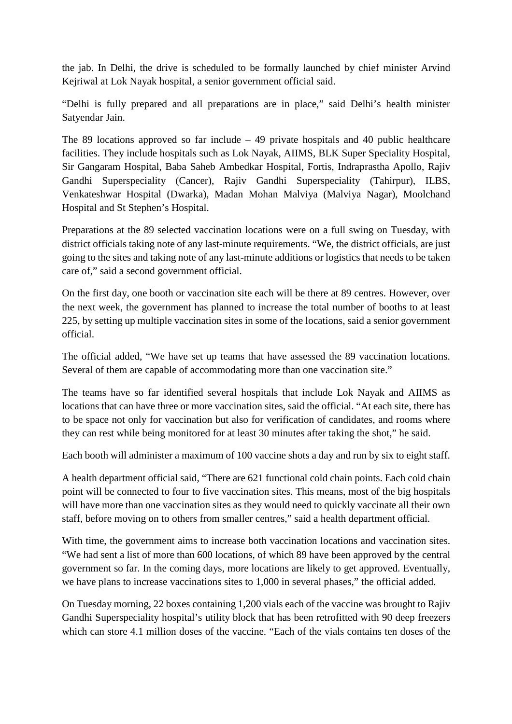the jab. In Delhi, the drive is scheduled to be formally launched by chief minister Arvind Kejriwal at Lok Nayak hospital, a senior government official said.

"Delhi is fully prepared and all preparations are in place," said Delhi's health minister Satyendar Jain.

The 89 locations approved so far include  $-49$  private hospitals and 40 public healthcare facilities. They include hospitals such as Lok Nayak, AIIMS, BLK Super Speciality Hospital, Sir Gangaram Hospital, Baba Saheb Ambedkar Hospital, Fortis, Indraprastha Apollo, Rajiv Gandhi Superspeciality (Cancer), Rajiv Gandhi Superspeciality (Tahirpur), ILBS, Venkateshwar Hospital (Dwarka), Madan Mohan Malviya (Malviya Nagar), Moolchand Hospital and St Stephen's Hospital.

Preparations at the 89 selected vaccination locations were on a full swing on Tuesday, with district officials taking note of any last-minute requirements. "We, the district officials, are just going to the sites and taking note of any last-minute additions or logistics that needs to be taken care of," said a second government official.

On the first day, one booth or vaccination site each will be there at 89 centres. However, over the next week, the government has planned to increase the total number of booths to at least 225, by setting up multiple vaccination sites in some of the locations, said a senior government official.

The official added, "We have set up teams that have assessed the 89 vaccination locations. Several of them are capable of accommodating more than one vaccination site."

The teams have so far identified several hospitals that include Lok Nayak and AIIMS as locations that can have three or more vaccination sites, said the official. "At each site, there has to be space not only for vaccination but also for verification of candidates, and rooms where they can rest while being monitored for at least 30 minutes after taking the shot," he said.

Each booth will administer a maximum of 100 vaccine shots a day and run by six to eight staff.

A health department official said, "There are 621 functional cold chain points. Each cold chain point will be connected to four to five vaccination sites. This means, most of the big hospitals will have more than one vaccination sites as they would need to quickly vaccinate all their own staff, before moving on to others from smaller centres," said a health department official.

With time, the government aims to increase both vaccination locations and vaccination sites. "We had sent a list of more than 600 locations, of which 89 have been approved by the central government so far. In the coming days, more locations are likely to get approved. Eventually, we have plans to increase vaccinations sites to 1,000 in several phases," the official added.

On Tuesday morning, 22 boxes containing 1,200 vials each of the vaccine was brought to Rajiv Gandhi Superspeciality hospital's utility block that has been retrofitted with 90 deep freezers which can store 4.1 million doses of the vaccine. "Each of the vials contains ten doses of the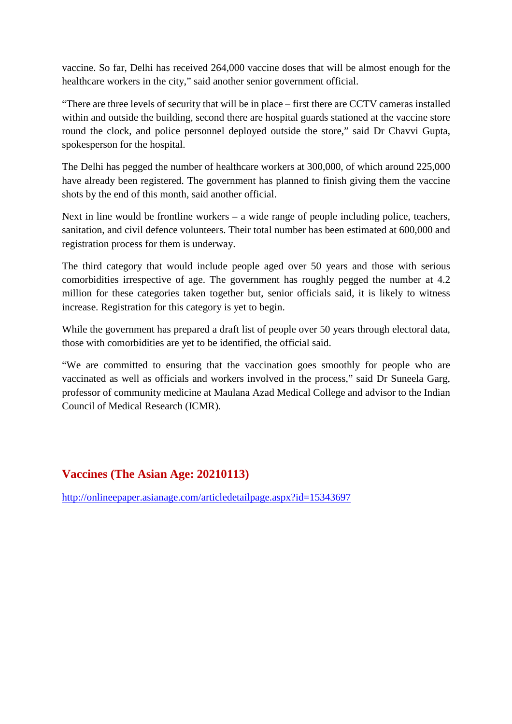vaccine. So far, Delhi has received 264,000 vaccine doses that will be almost enough for the healthcare workers in the city," said another senior government official.

"There are three levels of security that will be in place – first there are CCTV cameras installed within and outside the building, second there are hospital guards stationed at the vaccine store round the clock, and police personnel deployed outside the store," said Dr Chavvi Gupta, spokesperson for the hospital.

The Delhi has pegged the number of healthcare workers at 300,000, of which around 225,000 have already been registered. The government has planned to finish giving them the vaccine shots by the end of this month, said another official.

Next in line would be frontline workers – a wide range of people including police, teachers, sanitation, and civil defence volunteers. Their total number has been estimated at 600,000 and registration process for them is underway.

The third category that would include people aged over 50 years and those with serious comorbidities irrespective of age. The government has roughly pegged the number at 4.2 million for these categories taken together but, senior officials said, it is likely to witness increase. Registration for this category is yet to begin.

While the government has prepared a draft list of people over 50 years through electoral data, those with comorbidities are yet to be identified, the official said.

"We are committed to ensuring that the vaccination goes smoothly for people who are vaccinated as well as officials and workers involved in the process," said Dr Suneela Garg, professor of community medicine at Maulana Azad Medical College and advisor to the Indian Council of Medical Research (ICMR).

#### **Vaccines (The Asian Age: 20210113)**

http://onlineepaper.asianage.com/articledetailpage.aspx?id=15343697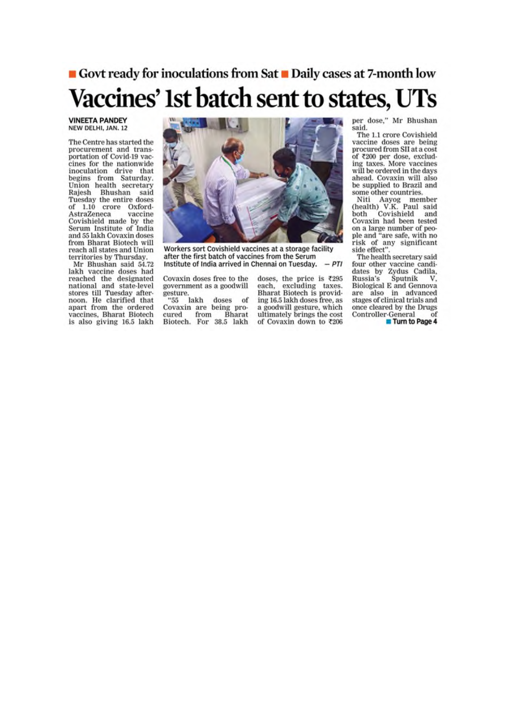# Govt ready for inoculations from Sat Daily cases at 7-month low Vaccines' 1st batch sent to states, UTs

#### **VINEETA PANDEY** NEW DELHI, JAN. 12

The Centre has started the procurement and transportation of Covid-19 vaccines for the nationwide inoculation drive that begins from Saturday.<br>Union health secretary Rajesh Bhushan said Tuesday the entire doses of 1.10 crore Oxford-AstraZeneca vaccine Covishield made by the Serum Institute of India and 55 lakh Covaxin doses from Bharat Biotech will reach all states and Union territories by Thursday.

Mr Bhushan said 54.72 lakh vaccine doses had reached the designated national and state-level stores till Tuesday afternoon. He clarified that apart from the ordered vaccines, Bharat Biotech is also giving 16.5 lakh



Workers sort Covishield vaccines at a storage facility after the first batch of vaccines from the Serum  $-PTI$ Institute of India arrived in Chennai on Tuesday.

Covaxin doses free to the government as a goodwill gesture. doses of

 $*_{55}$ lakh Covaxin are being procured from Bharat<br>Biotech. For 38.5 lakh

doses, the price is ₹295 each, excluding taxes.<br>Bharat Biotech is providing 16.5 lakh doses free, as a goodwill gesture, which ultimately brings the cost of Covaxin down to ₹206

per dose," Mr Bhushan said.

The 1.1 crore Covishield vaccine doses are being procured from SII at a cost of ₹200 per dose, excluding taxes. More vaccines will be ordered in the days ahead. Covaxin will also be supplied to Brazil and some other countries.

Niti Aayog member<br>(health) V.K. Paul said<br>both Covishield and Covaxin had been tested on a large number of peo-<br>ple and "are safe, with no risk of any significant side effect"

The health secretary said four other vaccine candidates by Zydus Cadila, Sputnik Russia's v Biological E and Gennova are also in advanced stages of clinical trials and once cleared by the Drugs Controller-General of Turn to Page 4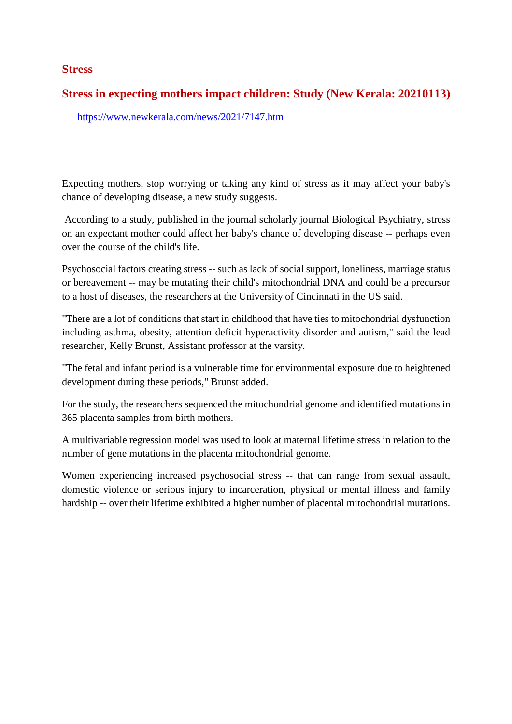#### **Stress**

#### **Stress in expecting mothers impact children: Study (New Kerala: 20210113)**

https://www.newkerala.com/news/2021/7147.htm

Expecting mothers, stop worrying or taking any kind of stress as it may affect your baby's chance of developing disease, a new study suggests.

According to a study, published in the journal scholarly journal Biological Psychiatry, stress on an expectant mother could affect her baby's chance of developing disease -- perhaps even over the course of the child's life.

Psychosocial factors creating stress -- such as lack of social support, loneliness, marriage status or bereavement -- may be mutating their child's mitochondrial DNA and could be a precursor to a host of diseases, the researchers at the University of Cincinnati in the US said.

"There are a lot of conditions that start in childhood that have ties to mitochondrial dysfunction including asthma, obesity, attention deficit hyperactivity disorder and autism," said the lead researcher, Kelly Brunst, Assistant professor at the varsity.

"The fetal and infant period is a vulnerable time for environmental exposure due to heightened development during these periods," Brunst added.

For the study, the researchers sequenced the mitochondrial genome and identified mutations in 365 placenta samples from birth mothers.

A multivariable regression model was used to look at maternal lifetime stress in relation to the number of gene mutations in the placenta mitochondrial genome.

Women experiencing increased psychosocial stress -- that can range from sexual assault, domestic violence or serious injury to incarceration, physical or mental illness and family hardship -- over their lifetime exhibited a higher number of placental mitochondrial mutations.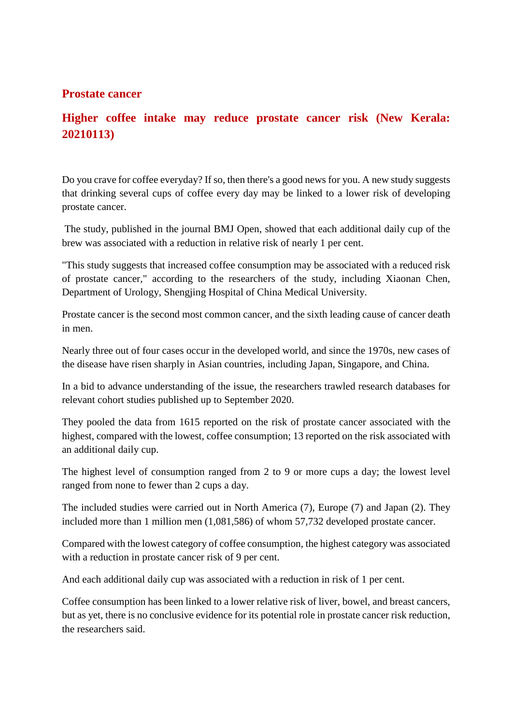#### **Prostate cancer**

#### **Higher coffee intake may reduce prostate cancer risk (New Kerala: 20210113)**

Do you crave for coffee everyday? If so, then there's a good news for you. A new study suggests that drinking several cups of coffee every day may be linked to a lower risk of developing prostate cancer.

The study, published in the journal BMJ Open, showed that each additional daily cup of the brew was associated with a reduction in relative risk of nearly 1 per cent.

"This study suggests that increased coffee consumption may be associated with a reduced risk of prostate cancer," according to the researchers of the study, including Xiaonan Chen, Department of Urology, Shengjing Hospital of China Medical University.

Prostate cancer is the second most common cancer, and the sixth leading cause of cancer death in men.

Nearly three out of four cases occur in the developed world, and since the 1970s, new cases of the disease have risen sharply in Asian countries, including Japan, Singapore, and China.

In a bid to advance understanding of the issue, the researchers trawled research databases for relevant cohort studies published up to September 2020.

They pooled the data from 1615 reported on the risk of prostate cancer associated with the highest, compared with the lowest, coffee consumption; 13 reported on the risk associated with an additional daily cup.

The highest level of consumption ranged from 2 to 9 or more cups a day; the lowest level ranged from none to fewer than 2 cups a day.

The included studies were carried out in North America (7), Europe (7) and Japan (2). They included more than 1 million men (1,081,586) of whom 57,732 developed prostate cancer.

Compared with the lowest category of coffee consumption, the highest category was associated with a reduction in prostate cancer risk of 9 per cent.

And each additional daily cup was associated with a reduction in risk of 1 per cent.

Coffee consumption has been linked to a lower relative risk of liver, bowel, and breast cancers, but as yet, there is no conclusive evidence for its potential role in prostate cancer risk reduction, the researchers said.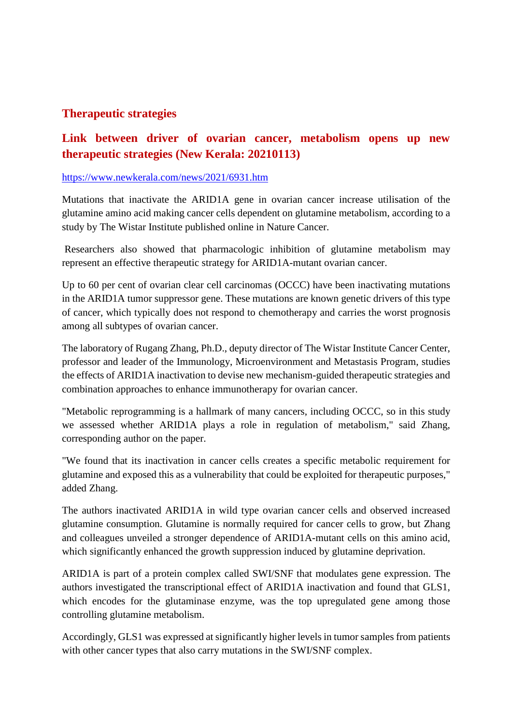#### **Therapeutic strategies**

#### **Link between driver of ovarian cancer, metabolism opens up new therapeutic strategies (New Kerala: 20210113)**

#### https://www.newkerala.com/news/2021/6931.htm

Mutations that inactivate the ARID1A gene in ovarian cancer increase utilisation of the glutamine amino acid making cancer cells dependent on glutamine metabolism, according to a study by The Wistar Institute published online in Nature Cancer.

Researchers also showed that pharmacologic inhibition of glutamine metabolism may represent an effective therapeutic strategy for ARID1A-mutant ovarian cancer.

Up to 60 per cent of ovarian clear cell carcinomas (OCCC) have been inactivating mutations in the ARID1A tumor suppressor gene. These mutations are known genetic drivers of this type of cancer, which typically does not respond to chemotherapy and carries the worst prognosis among all subtypes of ovarian cancer.

The laboratory of Rugang Zhang, Ph.D., deputy director of The Wistar Institute Cancer Center, professor and leader of the Immunology, Microenvironment and Metastasis Program, studies the effects of ARID1A inactivation to devise new mechanism-guided therapeutic strategies and combination approaches to enhance immunotherapy for ovarian cancer.

"Metabolic reprogramming is a hallmark of many cancers, including OCCC, so in this study we assessed whether ARID1A plays a role in regulation of metabolism," said Zhang, corresponding author on the paper.

"We found that its inactivation in cancer cells creates a specific metabolic requirement for glutamine and exposed this as a vulnerability that could be exploited for therapeutic purposes," added Zhang.

The authors inactivated ARID1A in wild type ovarian cancer cells and observed increased glutamine consumption. Glutamine is normally required for cancer cells to grow, but Zhang and colleagues unveiled a stronger dependence of ARID1A-mutant cells on this amino acid, which significantly enhanced the growth suppression induced by glutamine deprivation.

ARID1A is part of a protein complex called SWI/SNF that modulates gene expression. The authors investigated the transcriptional effect of ARID1A inactivation and found that GLS1, which encodes for the glutaminase enzyme, was the top upregulated gene among those controlling glutamine metabolism.

Accordingly, GLS1 was expressed at significantly higher levels in tumor samples from patients with other cancer types that also carry mutations in the SWI/SNF complex.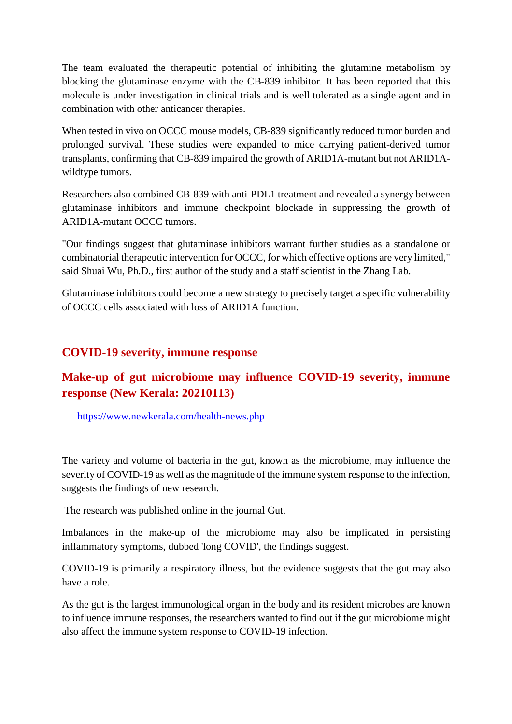The team evaluated the therapeutic potential of inhibiting the glutamine metabolism by blocking the glutaminase enzyme with the CB-839 inhibitor. It has been reported that this molecule is under investigation in clinical trials and is well tolerated as a single agent and in combination with other anticancer therapies.

When tested in vivo on OCCC mouse models, CB-839 significantly reduced tumor burden and prolonged survival. These studies were expanded to mice carrying patient-derived tumor transplants, confirming that CB-839 impaired the growth of ARID1A-mutant but not ARID1Awildtype tumors.

Researchers also combined CB-839 with anti-PDL1 treatment and revealed a synergy between glutaminase inhibitors and immune checkpoint blockade in suppressing the growth of ARID1A-mutant OCCC tumors.

"Our findings suggest that glutaminase inhibitors warrant further studies as a standalone or combinatorial therapeutic intervention for OCCC, for which effective options are very limited," said Shuai Wu, Ph.D., first author of the study and a staff scientist in the Zhang Lab.

Glutaminase inhibitors could become a new strategy to precisely target a specific vulnerability of OCCC cells associated with loss of ARID1A function.

#### **COVID-19 severity, immune response**

#### **Make-up of gut microbiome may influence COVID-19 severity, immune response (New Kerala: 20210113)**

https://www.newkerala.com/health-news.php

The variety and volume of bacteria in the gut, known as the microbiome, may influence the severity of COVID-19 as well as the magnitude of the immune system response to the infection, suggests the findings of new research.

The research was published online in the journal Gut.

Imbalances in the make-up of the microbiome may also be implicated in persisting inflammatory symptoms, dubbed 'long COVID', the findings suggest.

COVID-19 is primarily a respiratory illness, but the evidence suggests that the gut may also have a role.

As the gut is the largest immunological organ in the body and its resident microbes are known to influence immune responses, the researchers wanted to find out if the gut microbiome might also affect the immune system response to COVID-19 infection.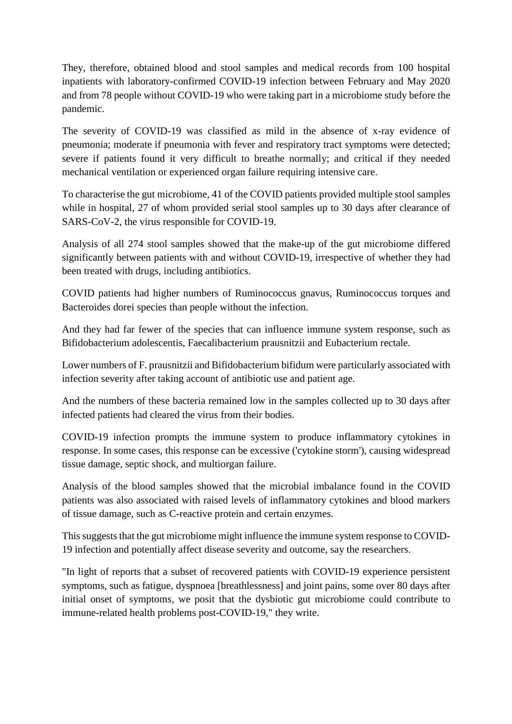They, therefore, obtained blood and stool samples and medical records from 100 hospital inpatients with laboratory-confirmed COVID-19 infection between February and May 2020 and from 78 people without COVID-19 who were taking part in a microbiome study before the pandemic.

The severity of COVID-19 was classified as mild in the absence of x-ray evidence of pneumonia; moderate if pneumonia with fever and respiratory tract symptoms were detected; severe if patients found it very difficult to breathe normally; and critical if they needed mechanical ventilation or experienced organ failure requiring intensive care.

To characterise the gut microbiome, 41 of the COVID patients provided multiple stool samples while in hospital, 27 of whom provided serial stool samples up to 30 days after clearance of SARS-CoV-2, the virus responsible for COVID-19.

Analysis of all 274 stool samples showed that the make-up of the gut microbiome differed significantly between patients with and without COVID-19, irrespective of whether they had been treated with drugs, including antibiotics.

COVID patients had higher numbers of Ruminococcus gnavus, Ruminococcus torques and Bacteroides dorei species than people without the infection.

And they had far fewer of the species that can influence immune system response, such as Bifidobacterium adolescentis, Faecalibacterium prausnitzii and Eubacterium rectale.

Lower numbers of F. prausnitzii and Bifidobacterium bifidum were particularly associated with infection severity after taking account of antibiotic use and patient age.

And the numbers of these bacteria remained low in the samples collected up to 30 days after infected patients had cleared the virus from their bodies.

COVID-19 infection prompts the immune system to produce inflammatory cytokines in response. In some cases, this response can be excessive ('cytokine storm'), causing widespread tissue damage, septic shock, and multiorgan failure.

Analysis of the blood samples showed that the microbial imbalance found in the COVID patients was also associated with raised levels of inflammatory cytokines and blood markers of tissue damage, such as C-reactive protein and certain enzymes.

This suggests that the gut microbiome might influence the immune system response to COVID-19 infection and potentially affect disease severity and outcome, say the researchers.

"In light of reports that a subset of recovered patients with COVID-19 experience persistent symptoms, such as fatigue, dyspnoea [breathlessness] and joint pains, some over 80 days after initial onset of symptoms, we posit that the dysbiotic gut microbiome could contribute to immune-related health problems post-COVID-19," they write.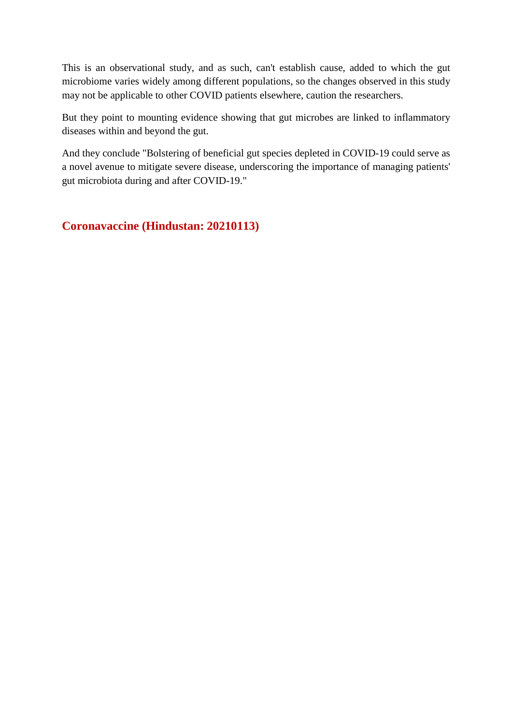This is an observational study, and as such, can't establish cause, added to which the gut microbiome varies widely among different populations, so the changes observed in this study may not be applicable to other COVID patients elsewhere, caution the researchers.

But they point to mounting evidence showing that gut microbes are linked to inflammatory diseases within and beyond the gut.

And they conclude "Bolstering of beneficial gut species depleted in COVID-19 could serve as a novel avenue to mitigate severe disease, underscoring the importance of managing patients' gut microbiota during and after COVID-19."

#### **Coronavaccine (Hindustan: 20210113)**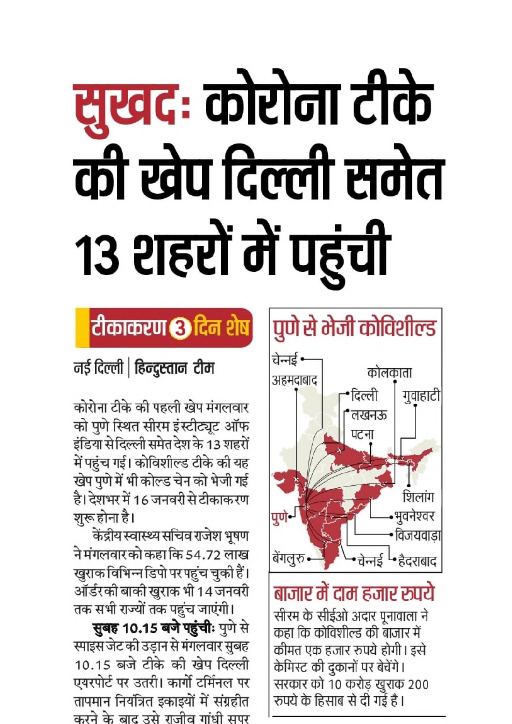# सुखदः कोरोना टीके की खेप दिल्ली समेत १३ शहरों में पहुंची

# टीकाकरण **©** दिन शेष

नई दिल्ली | हिन्दुस्तान टीम

कोरोना टीके की पहली खेप मंगलवार को पुणे स्थित सीरम इंस्टीट्यूट ऑफ इंडिया से दिल्ली समेत देश के 13 शहरों में पहुंच गई। कोविशील्ड टीके की यह खेप पुणे में भी कोल्ड चेन को भेजी गई है। देशभर में 16 जनवरी से टीकाकरण शुरू होना है।

केंद्रीय स्वास्थ्य सचिव राजेश भूषण ने मंगलवार को कहा कि 54.72 लाख खुराक विभिन्न डिपो पर पहुंच चुकी हैं। ऑर्डरकी बाकी खुराक भी 14 जनवरी तक सभी राज्यों तक पहुंच जाएंगी।

सुबह 10.15 बजे पहुंची: पुणे से स्पाइस जेट की उड़ान से मंगलवार सुबह 10.15 बजे टीके की खेप दिल्ली एयरपोर्ट पर उतरी। कार्गो टर्मिनल पर तापमान नियंत्रित इकाइयों में संग्रहीत करने के बाद उसे राजीव गांधी सपर



बाजार में दाम हजार रुपये सीरम के सीईओ अदार पूनावाला ने कहा कि कोविशील्ड की बाजार में कीमत एक हजार रुपये होगी। इसे केमिस्ट की दुकानों पर बेचेंगे। सरकार को 10 करोड़ खुराक 200 रुपये के हिसाब से दी गई है।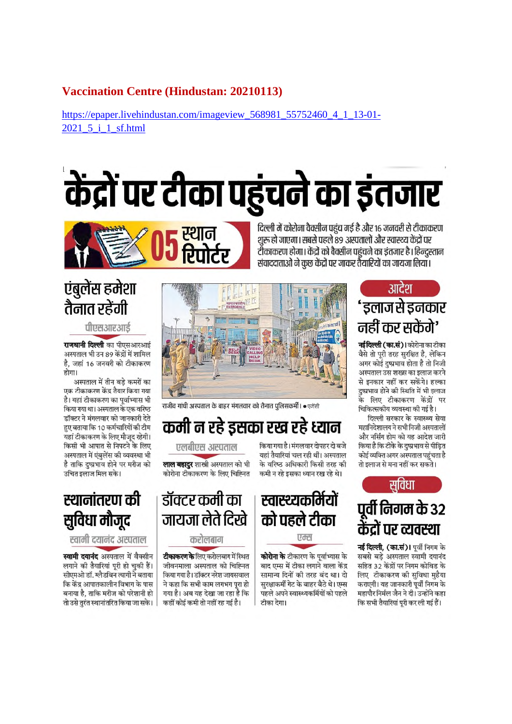#### **Vaccination Centre (Hindustan: 20210113)**

https://epaper.livehindustan.com/imageview\_568981\_55752460\_4\_1\_13-01-2021 5 i 1 sf.html

# केंद्रों पर टीका पहुंचने का इंतजार



दिल्ली में कोरोना वैक्सीन पहंच गई है और 16 जनवरी से टीकाकरण शरू हो जाएगा। सबसे पहले 89 अस्पतालों और स्वास्थ्य केंद्रों पर टीकाकरण होगा। केंद्रों को वैक्सीन पहुंचने का इंतजार है। हिन्दुस्तान संवाददाताओं ने कुछ केंद्रों पर जाकर तैयारियों का जायजा लिया।

# एंबुलेंस हमेशा तैनात रहेंगी

#### पीएसआरआई

राजधानी दिल्ली का पीएसआरआई अस्पताल भी उन 89 केंद्रों में शामिल है. जहां 16 जनवरी को टीकाकरण होगा।

अस्पताल में तीन बड़े कमरों का एक टीकाकरण केंद्र तैयार किया गया है। यहां टीकाकरण का पर्वाभ्यास भी किया गया था। अस्पताल के एक वरिष्ठ डॉक्टर ने मंगलवार को जानकारी देते हुए बताया कि 10 कर्मचारियों की टीम यहां टीकाकरण के लिए मौजद रहेगी। किसी भी आपात से निपटने के लिए अस्पताल में एंबलेंस की व्यवस्था भी है ताकि दुष्प्रभाव होने पर मरीज को उचित इलाज मिल सके।

# स्थानांतरण की सुविधा मौजूद

#### स्वामी दयानंद अस्पताल

स्वामी दयानंद अस्पताल में वैक्सीन लगाने की तैयारियां पूरी हो चुकी हैं। सीएमओ डॉ. ग्लैडबिन त्यागी ने बताया कि केंद्र आपातकालीन विभाग के पास बनाया है, ताकि मरीज को परेशानी हो तो उसे तुरंत स्थानांतरित किया जा सके।



राजीव गांधी अस्पताल के बाहर मंगलवार को तैनात पलिसकर्मी। • एजेंसी

# कमी न रहे इसका रख रहे ध्यान

#### एलबीएस अस्पताल

लाल बहादर शास्त्री अस्पताल को भी कोरोना टीकाकरण के लिए चिह्नित



#### करोलबाग

टीकाकरण के लिए करोलबाग में स्थित जीवनमाला अस्पताल को चिह्नित किया गया है। डॉक्टर नरेश जायसवाल ने कहा कि सभी काम लगभग परा हो गया है। अब यह देखा जा रहा है कि कहीं कोई कमी तो नहीं रह गई है।

के वरिष्ठ अधिकारी किसी तरह की कमी न रहे इसका ध्यान रख रहे थे।

किया गया है। मंगलवार दोपहर दो बजे

यहां तैयारियां चल रही थीं। अस्पताल



एम्स

**कोरोना के** टीकारण के पूर्वाभ्यास के बाद एम्स में टीका लगाने वाला केंद्र सामान्य दिनों की तरह बंद था। दो सरक्षाकर्मी गेट के बाहर बैठे थे। एम्स पहले अपने स्वास्थ्यकर्मियों को पहले टीका देगा।

### आदेश 'इलाजसे इनकार नहीं कर सकेंगे'

नई दिल्ली (का.सं)। कोरोना का टीका .<br>वैसे तो पूरी तरह सुरक्षित है, लेकिन अगर कोई दुष्प्रभाव होता है तो निजी अस्पताल उस शख्स का इलाज करने से इनकार नहीं कर सकेंगे। हल्का दुष्प्रभाव होने की स्थिति में भी इलाज ू<br>के लिए टीकाकरण केंद्रों पर चिकित्सकीय व्यवस्था की गई है।

दिल्ली सरकार के स्वास्थ्य सेवा महानिदेशालय ने सभी निजी अस्पतालों और नर्सिग होम को यह आदेश जारी किया है कि टीके के दुष्प्रभाव से पीड़ित कोई व्यक्ति अगर अस्पताल पहुंचता है तो इलाज से मना नहीं कर सकते।



नई दिल्ली, (का.सं)। पूर्वी निगम के सबसे बड़े अस्पताल स्वामी दयानंद सहित 32 केंद्रों पर निगम कोविड के लिए टीकाकरण की सुविधा मुहैया कराएगी। यह जानकारी पूर्वी निगम के महापौर निर्मल जैन ने दी। उन्होंने कहा कि सभी तैयारियां पुरी कर ली गई हैं।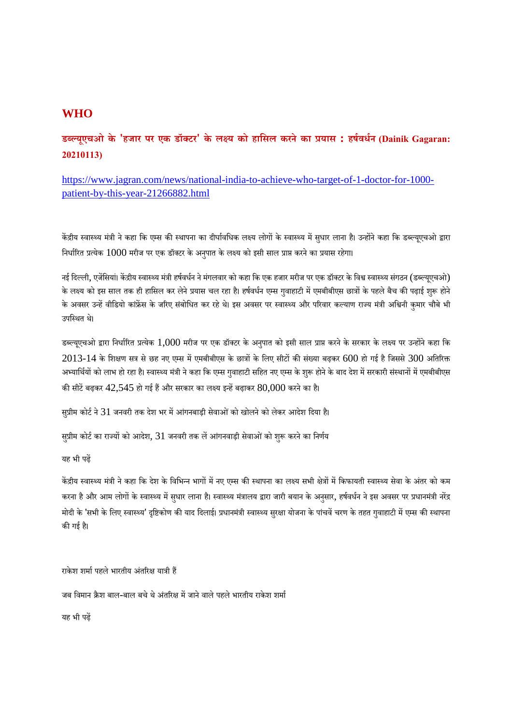#### **WHO**

#### **डयूएचओ के 'हजार पर एक डॉटर' के लय को हािसल करनेका यास : हषवधन (Dainik Gagaran: 20210113)**

https://www.jagran.com/news/national-india-to-achieve-who-target-of-1-doctor-for-1000 patient-by-this-year-21266882.html

केंद्रीय स्वास्थ्य मंत्री ने कहा कि एम्स की स्थापना का दीर्घावधिक लक्ष्य लोगों के स्वास्थ्य में सुधार लाना है। उन्होंने कहा कि डब्ल्यूएचओ द्वारा निर्धारित प्रत्येक 1000 मरीज पर एक डॉक्टर के अनुपात के लक्ष्य को इसी साल प्राप्त करने का प्रयास रहेगा।

नई दिल्ली, एजेंसियां। केंद्रीय स्वास्थ्य मंत्री हर्षवर्धन ने मंगलवार को कहा कि एक हजार मरीज पर एक डॉक्टर के विश्व स्वास्थ्य संगठन (डब्ल्युएचओ) के लक्ष्य को इस साल तक ही हासिल कर लेने प्रयास चल रहा है। हर्षवर्धन एम्स गुवाहाटी में एमबीबीएस छात्रों के पहले बैच की पढ़ाई शुरू होने के अवसर उन्हें वीडियो कांफ्रेंस के जरिए संबोधित कर रहे थे। इस अवसर पर स्वास्थ्य और परिवार कल्याण राज्य मंत्री अश्विनी कुमार चौबे भी उपिथत थे।

डब्ल्यूएचओ द्वारा निर्धारित प्रत्येक 1,000 मरीज पर एक डॉक्टर के अनुपात को इसी साल प्राप्त करने के सरकार के लक्ष्य पर उन्होंने कहा कि  $2013$ -14 के शिक्षण सत्र से छह नए एम्स में एमबीबीएस के छात्रों के लिए सीटों की संख्या बढ़कर 600 हो गई है जिससे 300 अतिरिक्त अभ्यार्थियों को लाभ हो रहा है। स्वास्थ्य मंत्री ने कहा कि एम्स गुवाहाटी सहित नए एम्स के शुरू होने के बाद देश में सरकारी संस्थानों में एमबीबीएस की सीटें बढ़कर  $42,545$  हो गई हैं और सरकार का लक्ष्य इन्हें बढ़ाकर  $80,000$  करने का है।

सुप्रीम कोर्ट ने 31 जनवरी तक देश भर में आंगनबाड़ी सेवाओं को खोलने को लेकर आदेश दिया है।

सुप्रीम कोर्ट का राज्यों को आदेश, 31 जनवरी तक लें आंगनवाड़ी सेवाओं को शुरू करने का निर्णय

यह भी पढ़

केंद्रीय स्वास्थ्य मंत्री ने कहा कि देश के विभिन्न भागों में नए एम्स की स्थापना का लक्ष्य सभी क्षेत्रों में किफायती स्वास्थ्य सेवा के अंतर को कम करना है और आम लोगों के स्वास्थ्य में सुधार लाना है। स्वास्थ्य मंत्रालय द्वारा जारी बयान के अनुसार, हर्षवर्धन ने इस अवसर पर प्रधानमंत्री नरेंद्र मोदी के 'सभी के लिए स्वास्थ्य' दृष्टिकोण की याद दिलाई। प्रधानमंत्री स्वास्थ्य सुरक्षा योजना के पांचवें चरण के तहत गुवाहाटी में एम्स की स्थापना की गई है।

राकेश शर्मा पहले भारतीय अंतरिक्ष यात्री हैं

जब विमान क्रैश बाल-बाल बचे थे अंतरिक्ष में जाने वाले पहले भारतीय राकेश शर्मा

यह भी पढ़